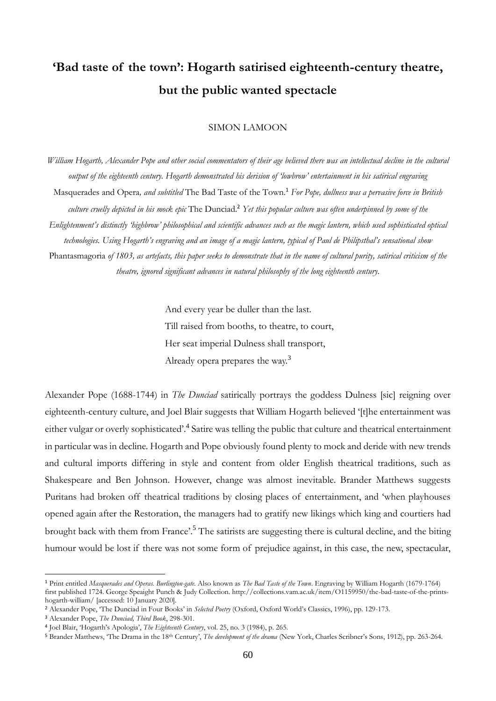# **'Bad taste of the town': Hogarth satirised eighteenth-century theatre, but the public wanted spectacle**

## SIMON LAMOON

*William Hogarth, Alexander Pope and other social commentators of their age believed there was an intellectual decline in the cultural output of the eighteenth century. Hogarth demonstrated his derision of 'lowbrow' entertainment in his satirical engraving*  Masquerades and Opera*, and subtitled* The Bad Taste of the Town*.* <sup>1</sup> *For Pope, dullness was a pervasive force in British culture cruelly depicted in his mock epic* The Dunciad.<sup>2</sup> *Yet this popular culture was often underpinned by some of the Enlightenment's distinctly 'highbrow' philosophical and scientific advances such as the magic lantern, which used sophisticated optical technologies. Using Hogarth's engraving and an image of a magic lantern, typical of Paul de Philipsthal's sensational show*  Phantasmagoria *of 1803, as artefacts, this paper seeks to demonstrate that in the name of cultural purity, satirical criticism of the theatre, ignored significant advances in natural philosophy of the long eighteenth century.*

> And every year be duller than the last. Till raised from booths, to theatre, to court, Her seat imperial Dulness shall transport, Already opera prepares the way.<sup>3</sup>

Alexander Pope (1688-1744) in *The Dunciad* satirically portrays the goddess Dulness [sic] reigning over eighteenth-century culture, and Joel Blair suggests that William Hogarth believed '[t]he entertainment was either vulgar or overly sophisticated'.<sup>4</sup> Satire was telling the public that culture and theatrical entertainment in particular was in decline. Hogarth and Pope obviously found plenty to mock and deride with new trends and cultural imports differing in style and content from older English theatrical traditions, such as Shakespeare and Ben Johnson. However, change was almost inevitable. Brander Matthews suggests Puritans had broken off theatrical traditions by closing places of entertainment, and 'when playhouses opened again after the Restoration, the managers had to gratify new likings which king and courtiers had brought back with them from France'.<sup>5</sup> The satirists are suggesting there is cultural decline, and the biting humour would be lost if there was not some form of prejudice against, in this case, the new, spectacular,

<sup>1</sup> Print entitled *Masquerades and Operas. Burlington-gate.* Also known as *The Bad Taste of the Town*. Engraving by William Hogarth (1679-1764) first published 1724. George Speaight Punch & Judy Collection. http://collections.vam.ac.uk/item/O1159950/the-bad-taste-of-the-printshogarth-william/ [accessed: 10 January 2020].

<sup>2</sup> Alexander Pope, 'The Dunciad in Four Books' in *Selected Poetry* (Oxford, Oxford World's Classics, 1996), pp. 129-173.

<sup>3</sup> Alexander Pope, *The Dunciad, Third Book*, 298-301.

<sup>4</sup> Joel Blair, 'Hogarth's Apologia', *The Eighteenth Century*, vol. 25, no. 3 (1984), p. 265.

<sup>5</sup> Brander Matthews, 'The Drama in the 18th Century', *The development of the drama* (New York, Charles Scribner's Sons, 1912), pp. 263-264.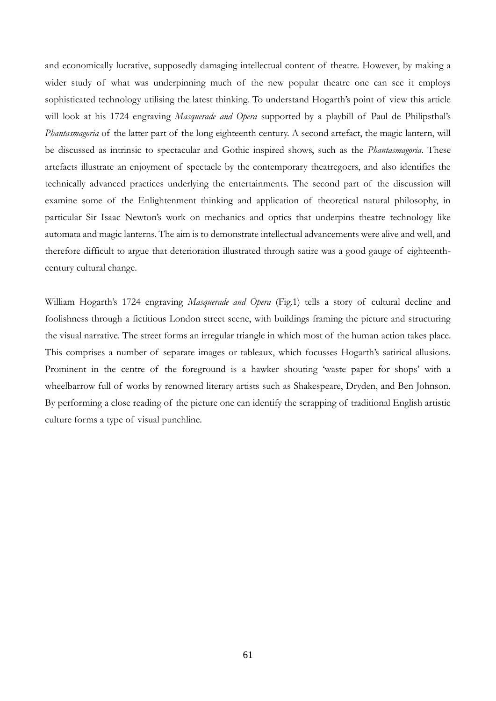and economically lucrative, supposedly damaging intellectual content of theatre. However, by making a wider study of what was underpinning much of the new popular theatre one can see it employs sophisticated technology utilising the latest thinking. To understand Hogarth's point of view this article will look at his 1724 engraving *Masquerade and Opera* supported by a playbill of Paul de Philipsthal's *Phantasmagoria* of the latter part of the long eighteenth century. A second artefact, the magic lantern, will be discussed as intrinsic to spectacular and Gothic inspired shows, such as the *Phantasmagoria*. These artefacts illustrate an enjoyment of spectacle by the contemporary theatregoers, and also identifies the technically advanced practices underlying the entertainments. The second part of the discussion will examine some of the Enlightenment thinking and application of theoretical natural philosophy, in particular Sir Isaac Newton's work on mechanics and optics that underpins theatre technology like automata and magic lanterns. The aim is to demonstrate intellectual advancements were alive and well, and therefore difficult to argue that deterioration illustrated through satire was a good gauge of eighteenthcentury cultural change.

William Hogarth's 1724 engraving *Masquerade and Opera* (Fig.1) tells a story of cultural decline and foolishness through a fictitious London street scene, with buildings framing the picture and structuring the visual narrative. The street forms an irregular triangle in which most of the human action takes place. This comprises a number of separate images or tableaux, which focusses Hogarth's satirical allusions. Prominent in the centre of the foreground is a hawker shouting 'waste paper for shops' with a wheelbarrow full of works by renowned literary artists such as Shakespeare, Dryden, and Ben Johnson. By performing a close reading of the picture one can identify the scrapping of traditional English artistic culture forms a type of visual punchline.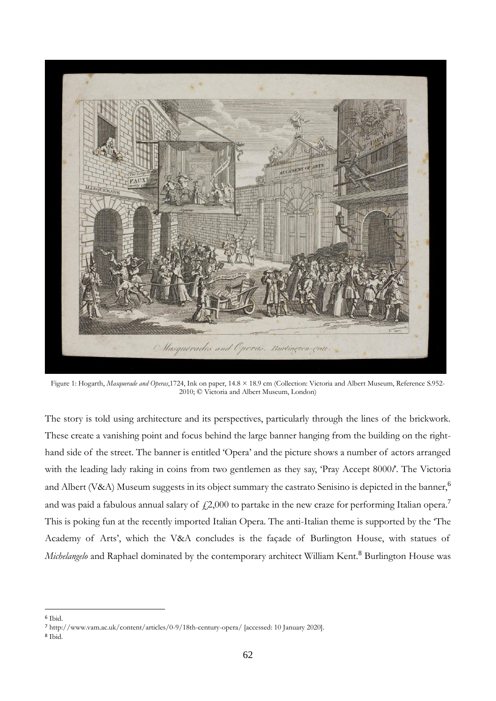

Figure 1: Hogarth, *Masquerade and Operas*,1724, Ink on paper, 14.8 × 18.9 cm (Collection: Victoria and Albert Museum, Reference S.952- 2010; © Victoria and Albert Museum, London)

The story is told using architecture and its perspectives, particularly through the lines of the brickwork. These create a vanishing point and focus behind the large banner hanging from the building on the righthand side of the street. The banner is entitled 'Opera' and the picture shows a number of actors arranged with the leading lady raking in coins from two gentlemen as they say, 'Pray Accept 8000*l*'. The Victoria and Albert (V&A) Museum suggests in its object summary the castrato Senisino is depicted in the banner,<sup>6</sup> and was paid a fabulous annual salary of  $\mu$ 2,000 to partake in the new craze for performing Italian opera.<sup>7</sup> This is poking fun at the recently imported Italian Opera. The anti-Italian theme is supported by the 'The Academy of Arts', which the V&A concludes is the façade of Burlington House, with statues of *Michelangelo* and Raphael dominated by the contemporary architect William Kent.<sup>8</sup> Burlington House was

<sup>6</sup> Ibid.

<sup>7</sup> http://www.vam.ac.uk/content/articles/0-9/18th-century-opera/ [accessed: 10 January 2020].

<sup>8</sup> Ibid.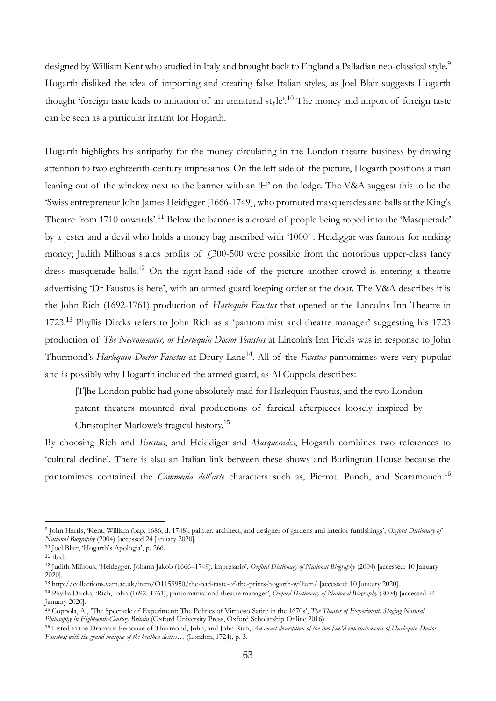designed by William Kent who studied in Italy and brought back to England a Palladian neo-classical style.<sup>9</sup> Hogarth disliked the idea of importing and creating false Italian styles, as Joel Blair suggests Hogarth thought 'foreign taste leads to imitation of an unnatural style'.<sup>10</sup> The money and import of foreign taste can be seen as a particular irritant for Hogarth.

Hogarth highlights his antipathy for the money circulating in the London theatre business by drawing attention to two eighteenth-century impresarios. On the left side of the picture, Hogarth positions a man leaning out of the window next to the banner with an 'H' on the ledge. The V&A suggest this to be the 'Swiss entrepreneur John James Heidigger (1666-1749), who promoted masquerades and balls at the King's Theatre from 1710 onwards'.<sup>11</sup> Below the banner is a crowd of people being roped into the 'Masquerade' by a jester and a devil who holds a money bag inscribed with '1000' . Heidiggar was famous for making money; Judith Milhous states profits of  $\text{\textsterling}300\text{-}500$  were possible from the notorious upper-class fancy dress masquerade balls.<sup>12</sup> On the right-hand side of the picture another crowd is entering a theatre advertising 'Dr Faustus is here', with an armed guard keeping order at the door. The V&A describes it is the John Rich (1692-1761) production of *Harlequin Faustus* that opened at the Lincolns Inn Theatre in 1723.<sup>13</sup> Phyllis Dircks refers to John Rich as a 'pantomimist and theatre manager' suggesting his 1723 production of *The Necromancer, or Harlequin Doctor Faustus* at Lincoln's Inn Fields was in response to John Thurmond's *Harlequin Doctor Faustus* at Drury Lane<sup>14</sup>. All of the *Faustus* pantomimes were very popular and is possibly why Hogarth included the armed guard, as Al Coppola describes:

[T]he London public had gone absolutely mad for Harlequin Faustus, and the two London patent theaters mounted rival productions of farcical afterpieces loosely inspired by

Christopher Marlowe's tragical history.<sup>15</sup>

By choosing Rich and *Faustus*, and Heiddiger and *Masquerades*, Hogarth combines two references to 'cultural decline'. There is also an Italian link between these shows and Burlington House because the pantomimes contained the *Commedia dell'arte* characters such as, Pierrot, Punch, and Scaramouch.<sup>16</sup>

<sup>13</sup> http://collections.vam.ac.uk/item/O1159950/the-bad-taste-of-the-prints-hogarth-william/ [accessed: 10 January 2020].

<sup>9</sup> John Harris, 'Kent, William (bap. 1686, d. 1748), painter, architect, and designer of gardens and interior furnishings', *Oxford Dictionary of National Biography* (2004) [accessed 24 January 2020].

<sup>10</sup> Joel Blair, 'Hogarth's Apologia', p. 266.

<sup>11</sup> Ibid.

<sup>12</sup> Judith Milhous, 'Heidegger, Johann Jakob (1666–1749), impresario', *Oxford Dictionary of National Biography* (2004) [accessed: 10 January 2020].

<sup>14</sup> Phyllis Dircks, 'Rich, John (1692–1761), pantomimist and theatre manager', *Oxford Dictionary of National Biography* (2004) [accessed 24 January 2020].

<sup>15</sup> Coppola, Al, 'The Spectacle of Experiment: The Politics of Virtuoso Satire in the 1670s', *The Theater of Experiment: Staging Natural Philosophy in Eighteenth-Century Britain* (Oxford University Press, Oxford Scholarship Online 2016)

<sup>16</sup> Listed in the Dramatis Personae of Thurmond, John, and John Rich, *An exact description of the two fam'd entertainments of Harlequin Doctor Faustus; with the grand masque of the heathen deities…* (London, 1724), p. 3.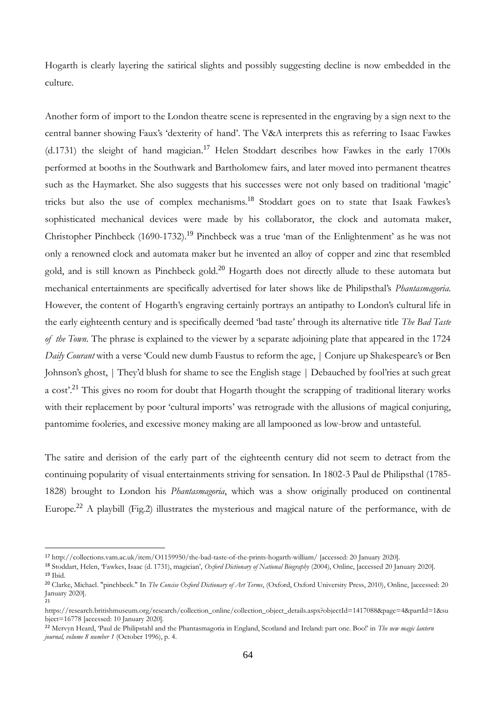Hogarth is clearly layering the satirical slights and possibly suggesting decline is now embedded in the culture.

Another form of import to the London theatre scene is represented in the engraving by a sign next to the central banner showing Faux's 'dexterity of hand'. The V&A interprets this as referring to Isaac Fawkes  $(d.1731)$  the sleight of hand magician.<sup>17</sup> Helen Stoddart describes how Fawkes in the early 1700s performed at booths in the Southwark and Bartholomew fairs, and later moved into permanent theatres such as the Haymarket. She also suggests that his successes were not only based on traditional 'magic' tricks but also the use of complex mechanisms.<sup>18</sup> Stoddart goes on to state that Isaak Fawkes's sophisticated mechanical devices were made by his collaborator, the clock and automata maker, Christopher Pinchbeck (1690-1732).<sup>19</sup> Pinchbeck was a true 'man of the Enlightenment' as he was not only a renowned clock and automata maker but he invented an alloy of copper and zinc that resembled gold, and is still known as Pinchbeck gold.<sup>20</sup> Hogarth does not directly allude to these automata but mechanical entertainments are specifically advertised for later shows like de Philipsthal's *Phantasmagoria.*  However, the content of Hogarth's engraving certainly portrays an antipathy to London's cultural life in the early eighteenth century and is specifically deemed 'bad taste' through its alternative title *The Bad Taste of the Town*. The phrase is explained to the viewer by a separate adjoining plate that appeared in the 1724 *Daily Courant* with a verse 'Could new dumb Faustus to reform the age, | Conjure up Shakespeare's or Ben Johnson's ghost, | They'd blush for shame to see the English stage | Debauched by fool'ries at such great a cost<sup>21</sup>. This gives no room for doubt that Hogarth thought the scrapping of traditional literary works with their replacement by poor 'cultural imports' was retrograde with the allusions of magical conjuring, pantomime fooleries, and excessive money making are all lampooned as low-brow and untasteful.

The satire and derision of the early part of the eighteenth century did not seem to detract from the continuing popularity of visual entertainments striving for sensation. In 1802-3 Paul de Philipsthal (1785- 1828) brought to London his *Phantasmagoria*, which was a show originally produced on continental Europe.<sup>22</sup> A playbill (Fig.2) illustrates the mysterious and magical nature of the performance, with de

<sup>17</sup> http://collections.vam.ac.uk/item/O1159950/the-bad-taste-of-the-prints-hogarth-william/ [accessed: 20 January 2020].

<sup>18</sup> Stoddart, Helen, 'Fawkes, Isaac (d. 1731), magician', *Oxford Dictionary of National Biography* (2004), Online, [accessed 20 January 2020]. <sup>19</sup> Ibid.

<sup>20</sup> Clarke, Michael. "pinchbeck." In *The Concise Oxford Dictionary of Art Terms*, (Oxford, Oxford University Press, 2010), Online, [accessed: 20 January 2020]. 21

https://research.britishmuseum.org/research/collection\_online/collection\_object\_details.aspx?objectId=1417088&page=4&partId=1&su bject=16778 [accessed: 10 January 2020].

<sup>22</sup> Mervyn Heard, 'Paul de Philipstahl and the Phantasmagoria in England, Scotland and Ireland: part one. Boo!' in *The new magic lantern journal, volume 8 number 1* (October 1996), p. 4.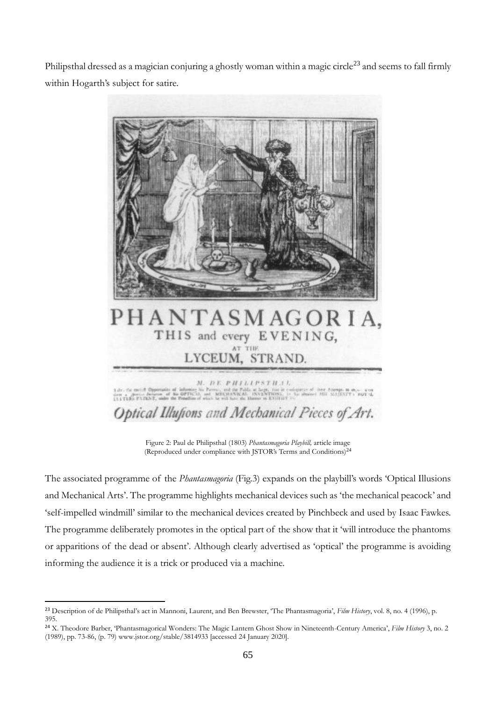Philipsthal dressed as a magician conjuring a ghostly woman within a magic circle<sup>23</sup> and seems to fall firmly within Hogarth's subject for satire.



Figure 2: Paul de Philipsthal (1803) *Phantasmagoria Playbill,* article image (Reproduced under compliance with JSTOR's Terms and Conditions)<sup>24</sup>

The associated programme of the *Phantasmagoria* (Fig.3) expands on the playbill's words 'Optical Illusions and Mechanical Arts'. The programme highlights mechanical devices such as 'the mechanical peacock' and 'self-impelled windmill' similar to the mechanical devices created by Pinchbeck and used by Isaac Fawkes. The programme deliberately promotes in the optical part of the show that it 'will introduce the phantoms or apparitions of the dead or absent'. Although clearly advertised as 'optical' the programme is avoiding informing the audience it is a trick or produced via a machine.

<sup>23</sup> Description of de Philipsthal's act in Mannoni, Laurent, and Ben Brewster, 'The Phantasmagoria', *Film History*, vol. 8, no. 4 (1996), p. 395.

<sup>24</sup> X. Theodore Barber, 'Phantasmagorical Wonders: The Magic Lantern Ghost Show in Nineteenth-Century America', *Film History* 3, no. 2 (1989), pp. 73-86, (p. 79) www.jstor.org/stable/3814933 [accessed 24 January 2020].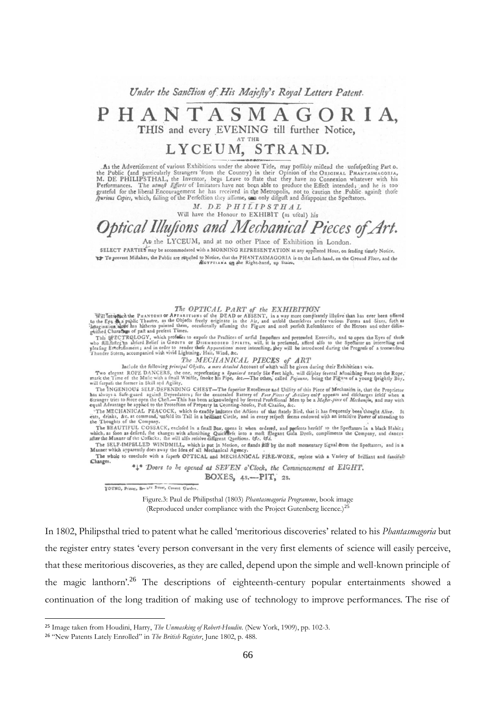Under the Sanction of His Majefty's Royal Letters Patent.

## PHANTASMAGORIA, THIS and every EVENING till further Notice, AT THE

# LYCEUM, STRAND.

As the Advertifement of various Exhibitions under the above Title, may poffibly miflead the unfufpedting Part o, the Public (and particularly Strangers 'from the Country) in their Opinion of the ORIGINAL PHANTASMAGORIA, M.

M. DE PHILIPSTHAL

## Will have the Honour to EXHIBIT (as ufual) his Optical Illusions and Mechanical Pieces of Art.

At the LYCEUM, and at no other Place of Exhibition in London.

SELECT PARTIES may be accommodated with a MORNING REPRESENTATION at any appointed Hour, on fending timely Notice. To prevent Miftakes, the Public are requited to Notice, that the PHANTASMAGORIA is on the Left-hand, on the Ground Floor, and the

**The OPTICAL PART of the EXHIBITION**<br>to the Eye  $\frac{A}{2}$  is public Theatre, as the Objects freely originate in the Air, and unfold themfelves under various Forms and Sizes, fuch as<br>imagination above the BRAD or ABSENT, i

The MECHANICAL PIECES of ART<br>Include the following principal Objects, a more detailed Account of whith will be given during their Exhibitions vis.

Include the following principal Objects, a more detailed Account of whigh will be given during their Exhibitions with<br>Two elegants ROPE DANCERS, the one, reprefenting a Spaniard nearly Six Feet high, will difplay feveral M

mark one I line of the Multiple Market and Winter. The Record of the Section of the Section of the Section of the Section of the Section of the Section of the Section of the Section of the Section of the Section of the Sec

The BEAUTIFUL COSSACK, enclofed in a fmall Box, opens it when ordered, and prefents herfelf to the Spectators in a black Habit;<br>which, as foon as defired, the changes with attoniting Quicketes into a moft glegant Gala Dres

The SELE-IMPELLED WINDMILL, which is put in Mechanical Agency.<br>Manner which apparently does away the Idea of all Mechanical Agency.<br>The whole to conclude with a fuperb OPTICAL and MECHANICAL FIRE-WORK, replete with a Varie

Changes. \*<sup>\*</sup> Doors to he opened at SEVEN o'Clock, the Commencement at EIGHT.

## BOXES, 4s.--PIT, 2s.

YOUNG, Printer, Bry & Ca Street, Covent Garden

Figure.3: Paul de Philipsthal (1803) *Phantasmagoria Programme*, book image (Reproduced under compliance with the Project Gutenberg licence.) $^{25}$ 

In 1802, Philipsthal tried to patent what he called 'meritorious discoveries' related to his *Phantasmagoria* but the register entry states 'every person conversant in the very first elements of science will easily perceive, that these meritorious discoveries, as they are called, depend upon the simple and well-known principle of the magic lanthorn'.<sup>26</sup> The descriptions of eighteenth-century popular entertainments showed a continuation of the long tradition of making use of technology to improve performances. The rise of

<sup>25</sup> Image taken from Houdini, Harry, *The Unmasking of Robert-Houdin*. (New York, 1909), pp. 102-3.

<sup>26</sup> "New Patents Lately Enrolled" in *The British Register*, June 1802, p. 488.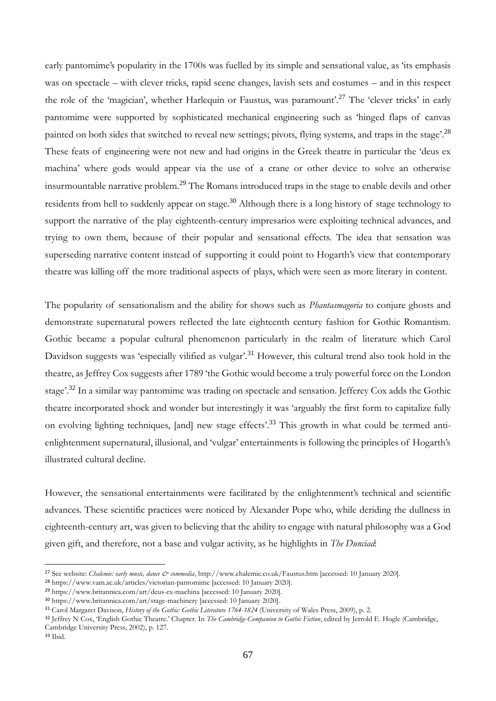early pantomime's popularity in the 1700s was fuelled by its simple and sensational value, as 'its emphasis' was on spectacle – with clever tricks, rapid scene changes, lavish sets and costumes – and in this respect the role of the 'magician', whether Harlequin or Faustus, was paramount'.<sup>27</sup> The 'clever tricks' in early pantomime were supported by sophisticated mechanical engineering such as 'hinged flaps of canvas painted on both sides that switched to reveal new settings; pivots, flying systems, and traps in the stage'.<sup>28</sup> These feats of engineering were not new and had origins in the Greek theatre in particular the 'deus ex machina' where gods would appear via the use of a crane or other device to solve an otherwise insurmountable narrative problem.<sup>29</sup> The Romans introduced traps in the stage to enable devils and other residents from hell to suddenly appear on stage.<sup>30</sup> Although there is a long history of stage technology to support the narrative of the play eighteenth-century impresarios were exploiting technical advances, and trying to own them, because of their popular and sensational effects. The idea that sensation was superseding narrative content instead of supporting it could point to Hogarth's view that contemporary theatre was killing off the more traditional aspects of plays, which were seen as more literary in content.

The popularity of sensationalism and the ability for shows such as *Phantasmagoria* to conjure ghosts and demonstrate supernatural powers reflected the late eighteenth century fashion for Gothic Romantism. Gothic became a popular cultural phenomenon particularly in the realm of literature which Carol Davidson suggests was 'especially vilified as vulgar'.<sup>31</sup> However, this cultural trend also took hold in the theatre, as Jeffrey Cox suggests after 1789 'the Gothic would become a truly powerful force on the London stage<sup>'.32</sup> In a similar way pantomime was trading on spectacle and sensation. Jefferey Cox adds the Gothic theatre incorporated shock and wonder but interestingly it was 'arguably the first form to capitalize fully on evolving lighting techniques, [and] new stage effects'.<sup>33</sup> This growth in what could be termed antienlightenment supernatural, illusional, and 'vulgar' entertainments is following the principles of Hogarth's illustrated cultural decline.

However, the sensational entertainments were facilitated by the enlightenment's technical and scientific advances. These scientific practices were noticed by Alexander Pope who, while deriding the dullness in eighteenth-century art, was given to believing that the ability to engage with natural philosophy was a God given gift, and therefore, not a base and vulgar activity, as he highlights in *The Dunciad*:

<sup>&</sup>lt;sup>27</sup> See website: *Chalemie: early music, dance & commedia*, http://www.chalemie.co.uk/Faustus.htm [accessed: 10 January 2020].

<sup>28</sup> https://www.vam.ac.uk/articles/victorian-pantomime [accessed: 10 January 2020].

<sup>29</sup> https://www.britannica.com/art/deus-ex-machina [accessed: 10 January 2020].

<sup>30</sup> https://www.britannica.com/art/stage-machinery [accessed: 10 January 2020].

<sup>31</sup> Carol Margaret Davison, *History of the Gothic: Gothic Literature 1764-1824* (University of Wales Press, 2009), p. 2.

<sup>32</sup> Jeffrey N Cox, 'English Gothic Theatre.' Chapter. In *The Cambridge Companion to Gothic Fiction*, edited by Jerrold E. Hogle (Cambridge, Cambridge University Press, 2002), p. 127. <sup>33</sup> Ibid.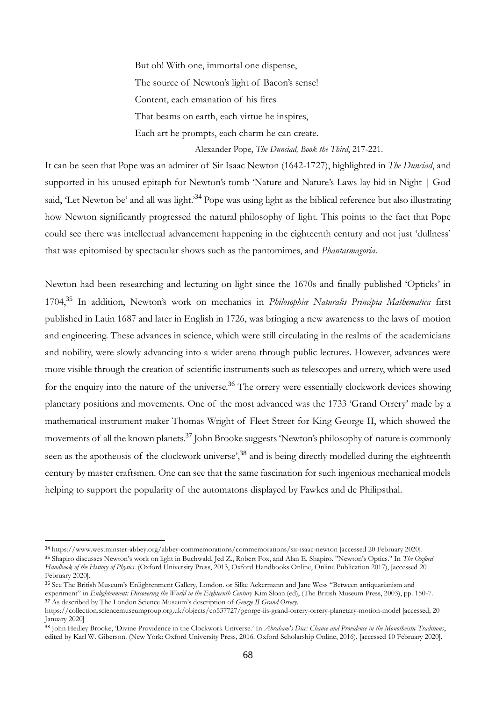But oh! With one, immortal one dispense, The source of Newton's light of Bacon's sense! Content, each emanation of his fires That beams on earth, each virtue he inspires, Each art he prompts, each charm he can create.

Alexander Pope, *The Dunciad, Book the Third*, 217-221.

It can be seen that Pope was an admirer of Sir Isaac Newton (1642-1727), highlighted in *The Dunciad*, and supported in his unused epitaph for Newton's tomb 'Nature and Nature's Laws lay hid in Night | God said, 'Let Newton be' and all was light.<sup>34</sup> Pope was using light as the biblical reference but also illustrating how Newton significantly progressed the natural philosophy of light. This points to the fact that Pope could see there was intellectual advancement happening in the eighteenth century and not just 'dullness' that was epitomised by spectacular shows such as the pantomimes, and *Phantasmagoria*.

Newton had been researching and lecturing on light since the 1670s and finally published 'Opticks' in 1704,<sup>35</sup> In addition, Newton's work on mechanics in *Philosophiæ Naturalis Principia Mathematica* first published in Latin 1687 and later in English in 1726, was bringing a new awareness to the laws of motion and engineering. These advances in science, which were still circulating in the realms of the academicians and nobility, were slowly advancing into a wider arena through public lectures. However, advances were more visible through the creation of scientific instruments such as telescopes and orrery, which were used for the enquiry into the nature of the universe.<sup>36</sup> The orrery were essentially clockwork devices showing planetary positions and movements. One of the most advanced was the 1733 'Grand Orrery' made by a mathematical instrument maker Thomas Wright of Fleet Street for King George II, which showed the movements of all the known planets.<sup>37</sup> John Brooke suggests 'Newton's philosophy of nature is commonly seen as the apotheosis of the clockwork universe',<sup>38</sup> and is being directly modelled during the eighteenth century by master craftsmen. One can see that the same fascination for such ingenious mechanical models helping to support the popularity of the automatons displayed by Fawkes and de Philipsthal.

<sup>34</sup> https://www.westminster-abbey.org/abbey-commemorations/commemorations/sir-isaac-newton [accessed 20 February 2020]. <sup>35</sup> Shapiro discusses Newton's work on light in Buchwald, Jed Z., Robert Fox, and Alan E. Shapiro. "Newton's Optics." In *The Oxford Handbook of the History of Physics*. (Oxford University Press, 2013, Oxford Handbooks Online, Online Publication 2017), [accessed 20 February 2020].

<sup>36</sup> See The British Museum's Enlightenment Gallery, London. or Silke Ackermann and Jane Wess "Between antiquarianism and experiment" in *Enlightenment: Discovering the World in the Eighteenth Century* Kim Sloan (ed), (The British Museum Press, 2003), pp. 150-7. <sup>37</sup> As described by The London Science Museum's description of *George II Grand Orrery*.

https://collection.sciencemuseumgroup.org.uk/objects/co537727/george-iis-grand-orrery-orrery-planetary-motion-model [accessed; 20 January 2020]

<sup>38</sup> John Hedley Brooke, 'Divine Providence in the Clockwork Universe.' In *Abraham's Dice: Chance and Providence in the Monotheistic Traditions*, edited by Karl W. Giberson. (New York: Oxford University Press, 2016. Oxford Scholarship Online, 2016), [accessed 10 February 2020].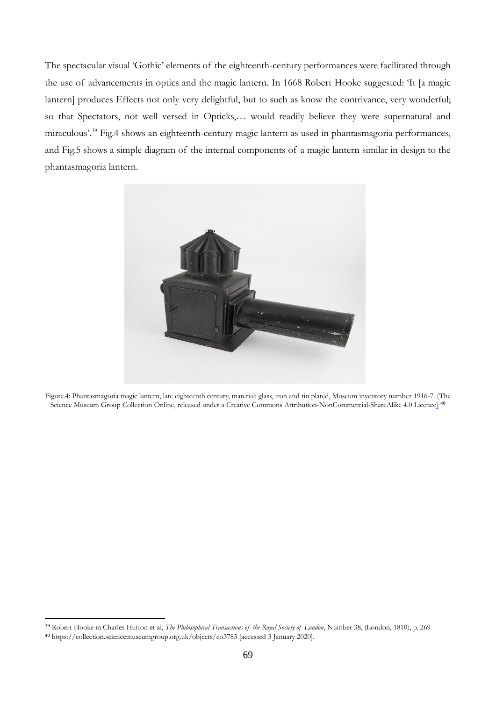The spectacular visual 'Gothic' elements of the eighteenth-century performances were facilitated through the use of advancements in optics and the magic lantern. In 1668 Robert Hooke suggested: 'It [a magic lantern] produces Effects not only very delightful, but to such as know the contrivance, very wonderful; so that Spectators, not well versed in Opticks,… would readily believe they were supernatural and miraculous'.<sup>39</sup> Fig.4 shows an eighteenth-century magic lantern as used in phantasmagoria performances, and Fig.5 shows a simple diagram of the internal components of a magic lantern similar in design to the phantasmagoria lantern.



Figure.4: Phantasmagoria magic lantern, late eighteenth century, material: glass, iron and tin plated, Museum inventory number 1916-7. (The Science Museum Group Collection Online, released under a Creative Commons Attribution-NonCommercial-ShareAlike 4.0 Licence) 40

<sup>39</sup> Robert Hooke in Charles Hutton et al, *The Philosophical Transactions of the Royal Society of London*, Number 38, (London, 1810), p. 269

<sup>40</sup> https://collection.sciencemuseumgroup.org.uk/objects/co3785 [accessed 3 January 2020].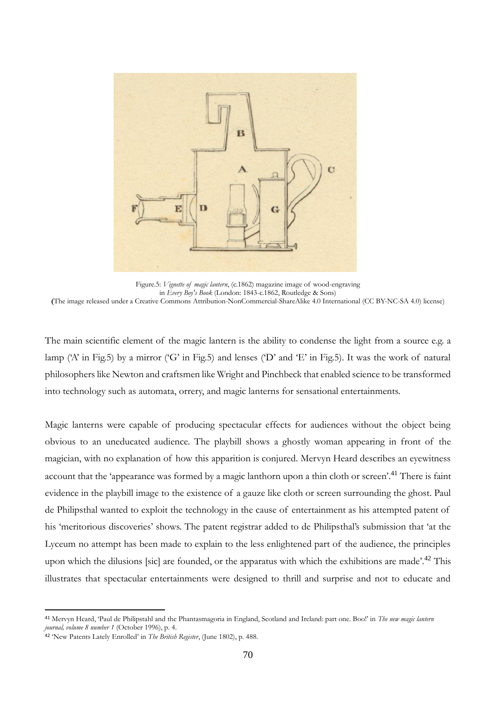

Figure.5: *Vignette of magic lantern*, (c.1862) magazine image of wood-engraving in *Every Boy's Book* (London: 1843-c.1862, Routledge & Sons) **(**The image released under a Creative Commons Attribution-NonCommercial-ShareAlike 4.0 International (CC BY-NC-SA 4.0) license)

The main scientific element of the magic lantern is the ability to condense the light from a source e.g. a lamp ('A' in Fig.5) by a mirror ('G' in Fig.5) and lenses ('D' and 'E' in Fig.5). It was the work of natural philosophers like Newton and craftsmen like Wright and Pinchbeck that enabled science to be transformed into technology such as automata, orrery, and magic lanterns for sensational entertainments.

Magic lanterns were capable of producing spectacular effects for audiences without the object being obvious to an uneducated audience. The playbill shows a ghostly woman appearing in front of the magician, with no explanation of how this apparition is conjured. Mervyn Heard describes an eyewitness account that the 'appearance was formed by a magic lanthorn upon a thin cloth or screen'.<sup>41</sup> There is faint evidence in the playbill image to the existence of a gauze like cloth or screen surrounding the ghost. Paul de Philipsthal wanted to exploit the technology in the cause of entertainment as his attempted patent of his 'meritorious discoveries' shows. The patent registrar added to de Philipsthal's submission that 'at the Lyceum no attempt has been made to explain to the less enlightened part of the audience, the principles upon which the dilusions [sic] are founded, or the apparatus with which the exhibitions are made<sup>'.42</sup> This illustrates that spectacular entertainments were designed to thrill and surprise and not to educate and

<sup>41</sup> Mervyn Heard, 'Paul de Philipstahl and the Phantasmagoria in England, Scotland and Ireland: part one. Boo!' in *The new magic lantern journal, volume 8 number 1* (October 1996), p. 4.

<sup>42</sup> 'New Patents Lately Enrolled' in *The British Register*, (June 1802), p. 488.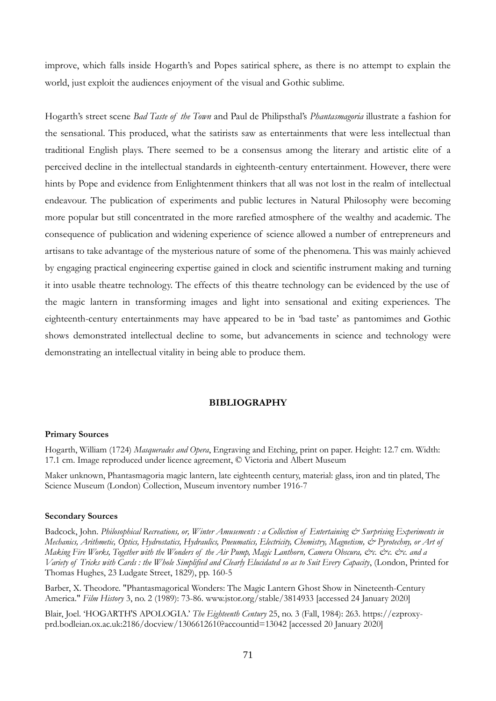improve, which falls inside Hogarth's and Popes satirical sphere, as there is no attempt to explain the world, just exploit the audiences enjoyment of the visual and Gothic sublime.

Hogarth's street scene *Bad Taste of the Town* and Paul de Philipsthal's *Phantasmagoria* illustrate a fashion for the sensational. This produced, what the satirists saw as entertainments that were less intellectual than traditional English plays. There seemed to be a consensus among the literary and artistic elite of a perceived decline in the intellectual standards in eighteenth-century entertainment. However, there were hints by Pope and evidence from Enlightenment thinkers that all was not lost in the realm of intellectual endeavour. The publication of experiments and public lectures in Natural Philosophy were becoming more popular but still concentrated in the more rarefied atmosphere of the wealthy and academic. The consequence of publication and widening experience of science allowed a number of entrepreneurs and artisans to take advantage of the mysterious nature of some of the phenomena. This was mainly achieved by engaging practical engineering expertise gained in clock and scientific instrument making and turning it into usable theatre technology. The effects of this theatre technology can be evidenced by the use of the magic lantern in transforming images and light into sensational and exiting experiences. The eighteenth-century entertainments may have appeared to be in 'bad taste' as pantomimes and Gothic shows demonstrated intellectual decline to some, but advancements in science and technology were demonstrating an intellectual vitality in being able to produce them.

## **BIBLIOGRAPHY**

### **Primary Sources**

Hogarth, William (1724) *Masquerades and Opera*, Engraving and Etching, print on paper. Height: 12.7 cm. Width: 17.1 cm. Image reproduced under licence agreement, © Victoria and Albert Museum

Maker unknown, Phantasmagoria magic lantern, late eighteenth century, material: glass, iron and tin plated, The Science Museum (London) Collection, Museum inventory number 1916-7

### **Secondary Sources**

Badcock, John. *Philosophical Recreations, or, Winter Amusements : a Collection of Entertaining*  $\mathcal{O}$  *Surprising Experiments in Mechanics, Arithmetic, Optics, Hydrostatics, Hydraulics, Pneumatics, Electricity, Chemistry, Magnetism, & Pyrotechny, or Art of Making Fire Works, Together with the Wonders of the Air Pump, Magic Lanthorn, Camera Obscura, &c. &c. &c. and a Variety of Tricks with Cards : the Whole Simplified and Clearly Elucidated so as to Suit Every Capacity*, (London, Printed for Thomas Hughes, 23 Ludgate Street, 1829), pp. 160-5

Barber, X. Theodore. "Phantasmagorical Wonders: The Magic Lantern Ghost Show in Nineteenth-Century America." *Film History* 3, no. 2 (1989): 73-86. www.jstor.org/stable/3814933 [accessed 24 January 2020]

Blair, Joel. 'HOGARTH'S APOLOGIA.' *The Eighteenth Century* 25, no. 3 (Fall, 1984): 263. https://ezproxyprd.bodleian.ox.ac.uk:2186/docview/1306612610?accountid=13042 [accessed 20 January 2020]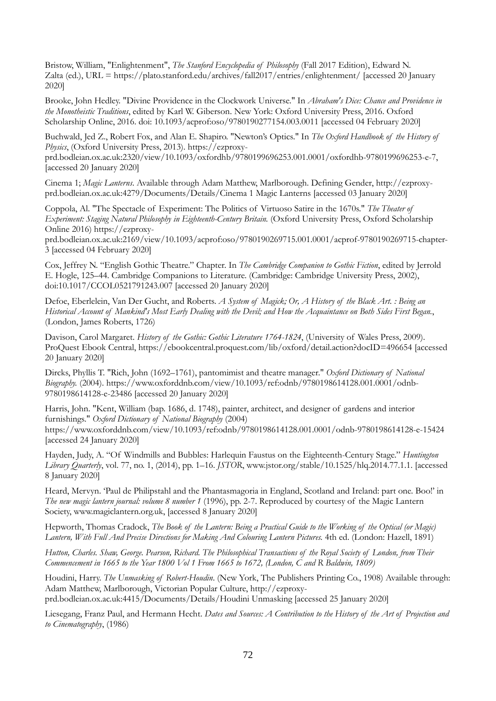Bristow, William, "Enlightenment", *The Stanford Encyclopedia of Philosophy* (Fall 2017 Edition), Edward N. Zalta (ed.), URL = https://plato.stanford.edu/archives/fall2017/entries/enlightenment/ [accessed 20 January 2020]

Brooke, John Hedley. "Divine Providence in the Clockwork Universe." In *Abraham's Dice: Chance and Providence in the Monotheistic Traditions*, edited by Karl W. Giberson. New York: Oxford University Press, 2016. Oxford Scholarship Online, 2016. doi: 10.1093/acprof:oso/9780190277154.003.0011 [accessed 04 February 2020]

Buchwald, Jed Z., Robert Fox, and Alan E. Shapiro. "Newton's Optics." In *The Oxford Handbook of the History of Physics*, (Oxford University Press, 2013). https://ezproxy-

prd.bodleian.ox.ac.uk:2320/view/10.1093/oxfordhb/9780199696253.001.0001/oxfordhb-9780199696253-e-7, [accessed 20 January 2020]

Cinema 1; *Magic Lanterns*. Available through Adam Matthew, Marlborough. Defining Gender, http://ezproxyprd.bodleian.ox.ac.uk:4279/Documents/Details/Cinema 1 Magic Lanterns [accessed 03 January 2020]

Coppola, Al. "The Spectacle of Experiment: The Politics of Virtuoso Satire in the 1670s." *The Theater of Experiment: Staging Natural Philosophy in Eighteenth-Century Britain.* (Oxford University Press, Oxford Scholarship Online 2016) https://ezproxy-

prd.bodleian.ox.ac.uk:2169/view/10.1093/acprof:oso/9780190269715.001.0001/acprof-9780190269715-chapter-3 [accessed 04 February 2020]

Cox, Jeffrey N. "English Gothic Theatre." Chapter. In *The Cambridge Companion to Gothic Fiction*, edited by Jerrold E. Hogle, 125–44. Cambridge Companions to Literature. (Cambridge: Cambridge University Press, 2002), doi:10.1017/CCOL0521791243.007 [accessed 20 January 2020]

Defoe, Eberlelein, Van Der Gucht, and Roberts. *A System of Magick; Or, A History of the Black Art. : Being an Historical Account of Mankind's Most Early Dealing with the Devil; and How the Acquaintance on Both Sides First Began.*, (London, James Roberts, 1726)

Davison, Carol Margaret. *History of the Gothic: Gothic Literature 1764-1824*, (University of Wales Press, 2009). ProQuest Ebook Central, https://ebookcentral.proquest.com/lib/oxford/detail.action?docID=496654 [accessed 20 January 2020]

Dircks, Phyllis T. "Rich, John (1692–1761), pantomimist and theatre manager." *Oxford Dictionary of National Biography.* (2004). https://www.oxforddnb.com/view/10.1093/ref:odnb/9780198614128.001.0001/odnb-9780198614128-e-23486 [accessed 20 January 2020]

Harris, John. "Kent, William (bap. 1686, d. 1748), painter, architect, and designer of gardens and interior furnishings." *Oxford Dictionary of National Biography* (2004) https://www.oxforddnb.com/view/10.1093/ref:odnb/9780198614128.001.0001/odnb-9780198614128-e-15424 [accessed 24 January 2020]

Hayden, Judy, A. "Of Windmills and Bubbles: Harlequin Faustus on the Eighteenth-Century Stage." *Huntington Library Quarterly*, vol. 77, no. 1, (2014), pp. 1–16. *JSTOR*, www.jstor.org/stable/10.1525/hlq.2014.77.1.1. [accessed 8 January 2020]

Heard, Mervyn. 'Paul de Philipstahl and the Phantasmagoria in England, Scotland and Ireland: part one. Boo!' in *The new magic lantern journal: volume 8 number 1* (1996), pp. 2-7. Reproduced by courtesy of the Magic Lantern Society, www.magiclantern.org.uk, [accessed 8 January 2020]

Hepworth, Thomas Cradock, *The Book of the Lantern: Being a Practical Guide to the Working of the Optical (or Magic) Lantern, With Full And Precise Directions for Making And Colouring Lantern Pictures.* 4th ed. (London: Hazell, 1891)

*Hutton, Charles. Shaw, George. Pearson, Richard. The Philosophical Transactions of the Royal Society of London, from Their Commencement in 1665 to the Year 1800 Vol 1 From 1665 to 1672, (London, C and R Baldwin, 1809)*

Houdini, Harry. *The Unmasking of Robert-Houdin*. (New York, The Publishers Printing Co., 1908) Available through: Adam Matthew, Marlborough, Victorian Popular Culture, http://ezproxyprd.bodleian.ox.ac.uk:4415/Documents/Details/Houdini Unmasking [accessed 25 January 2020]

Liesegang, Franz Paul, and Hermann Hecht. *Dates and Sources: A Contribution to the History of the Art of Projection and to Cinematography*, (1986)